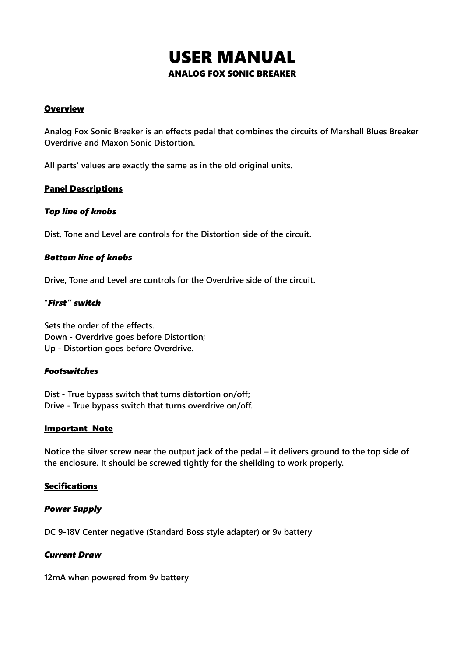# USER MANUAL ANALOG FOX SONIC BREAKER

# **Overview**

**Analog Fox Sonic Breaker is an effects pedal that combines the circuits of Marshall Blues Breaker Overdrive and Maxon Sonic Distortion.**

**All parts' values are exactly the same as in the old original units.** 

# Panel Descriptions

## *Top line of knobs*

**Dist, Tone and Level are controls for the Distortion side of the circuit.**

# *Bottom line of knobs*

**Drive, Tone and Level are controls for the Overdrive side of the circuit.**

# **"***First" switch*

**Sets the order of the effects. Down - Overdrive goes before Distortion; Up - Distortion goes before Overdrive.**

## *Footswitches*

**Dist - True bypass switch that turns distortion on/off; Drive - True bypass switch that turns overdrive on/off.**

## Important Note

**Notice the silver screw near the output jack of the pedal – it delivers ground to the top side of the enclosure. It should be screwed tightly for the sheilding to work properly.**

# **Secifications**

## *Power Supply*

**DC 9-18V Center negative (Standard Boss style adapter) or 9v battery**

## *Current Draw*

**12mA when powered from 9v battery**